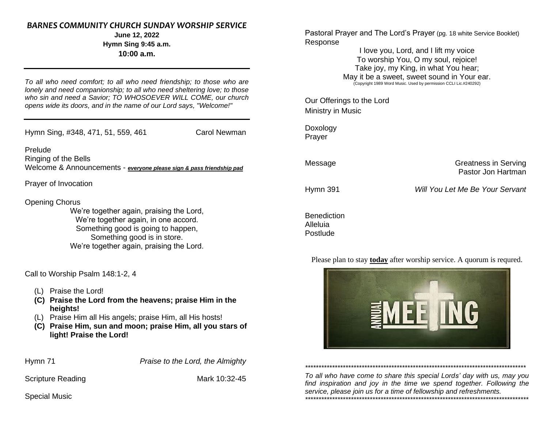# *BARNES COMMUNITY CHURCH SUNDAY WORSHIP SERVICE*

**June 12, 2022 Hymn Sing 9:45 a.m. 10:00 a.m.**

*To all who need comfort; to all who need friendship; to those who are lonely and need companionship; to all who need sheltering love; to those who sin and need a Savior; TO WHOSOEVER WILL COME, our church opens wide its doors, and in the name of our Lord says, "Welcome!"*

| Hymn Sing, #348, 471, 51, 559, 46 |  |  |  |
|-----------------------------------|--|--|--|
|                                   |  |  |  |

1 Carol Newman

Prelude Ringing of the Bells Welcome & Announcements - *everyone please sign & pass friendship pad*

Prayer of Invocation

#### Opening Chorus

We're together again, praising the Lord, We're together again, in one accord. Something good is going to happen, Something good is in store. We're together again, praising the Lord.

Call to Worship Psalm 148:1-2, 4

- (L) Praise the Lord!
- **(C) Praise the Lord from the heavens; praise Him in the heights!**
- (L) Praise Him all His angels; praise Him, all His hosts!
- **(C) Praise Him, sun and moon; praise Him, all you stars of light! Praise the Lord!**

Hymn 71 *Praise to the Lord, the Almighty*

Scripture Reading Mark 10:32-45

Special Music

Pastoral Prayer and The Lord's Prayer (pg. 18 white Service Booklet) Response

> I love you, Lord, and I lift my voice To worship You, O my soul, rejoice! Take joy, my King, in what You hear; May it be a sweet, sweet sound in Your ear. (Copyright 1989 Word Music. Used by permission CCLI Lic.#240292)

Our Offerings to the Lord Ministry in Music

Doxology Prayer

Message Greatness in Serving Pastor Jon Hartman

Hymn 391 *Will You Let Me Be Your Servant*

**Benediction** Alleluia Postlude

Please plan to stay **today** after worship service. A quorum is requred.



*\*\*\*\*\*\*\*\*\*\*\*\*\*\*\*\*\*\*\*\*\*\*\*\*\*\*\*\*\*\*\*\*\*\*\*\*\*\*\*\*\*\*\*\*\*\*\*\*\*\*\*\*\*\*\*\*\*\*\*\*\*\*\*\*\*\*\*\*\*\*\*\*\*\*\*\*\*\*\*\*\*\* To all who have come to share this special Lords' day with us, may you find inspiration and joy in the time we spend together. Following the service, please join us for a time of fellowship and refreshments. \*\*\*\*\*\*\*\*\*\*\*\*\*\*\*\*\*\*\*\*\*\*\*\*\*\*\*\*\*\*\*\*\*\*\*\*\*\*\*\*\*\*\*\*\*\*\*\*\*\*\*\*\*\*\*\*\*\*\*\*\*\*\*\*\*\*\*\*\*\*\*\*\*\*\*\*\*\*\*\*\*\*\**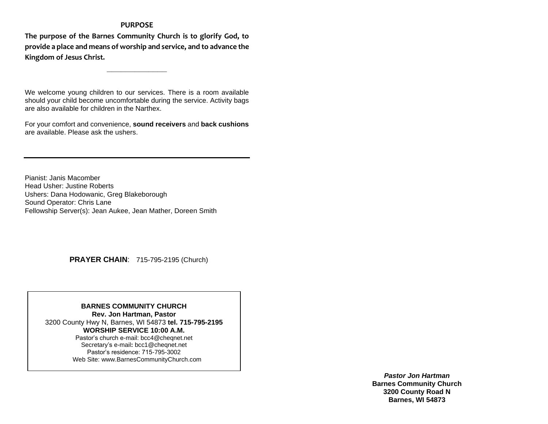#### **PURPOSE**

**The purpose of the Barnes Community Church is to glorify God, to provide a place and means of worship and service, and to advance the Kingdom of Jesus Christ.**

**\_\_\_\_\_\_\_\_\_\_\_\_\_**

We welcome young children to our services. There is a room available should your child become uncomfortable during the service. Activity bags are also available for children in the Narthex.

For your comfort and convenience, **sound receivers** and **back cushions** are available. Please ask the ushers.

Pianist: Janis Macomber Head Usher: Justine Roberts Ushers: Dana Hodowanic, Greg Blakeborough Sound Operator: Chris Lane Fellowship Server(s): Jean Aukee, Jean Mather, Doreen Smith

 **PRAYER CHAIN**: 715-795-2195 (Church)

**BARNES COMMUNITY CHURCH Rev. Jon Hartman, Pastor** 3200 County Hwy N, Barnes, WI 54873 **tel. 715-795-2195 WORSHIP SERVICE 10:00 A.M.** Pastor's church e-mail: bcc4@cheqnet.net Secretary's e-mail**:** [bcc1@cheqnet.net](mailto:bcc1@cheqnet.net) Pastor's residence: 715-795-3002 Web Site[: www.BarnesCommunityChurch.](http://www.barnescommunitychurch/)com

> *Pastor Jon Hartman* **Barnes Community Church 3200 County Road N Barnes, WI 54873**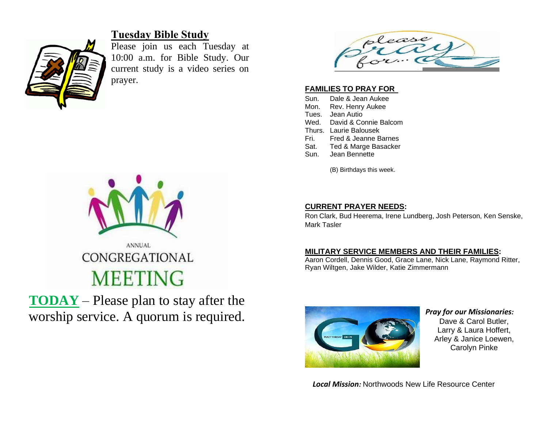

# **Tuesday Bible Study**

Please join us each Tuesday at 10:00 a.m. for Bible Study. Our current study is a video series on prayer.



### **FAMILIES TO PRAY FOR**

| Sun.   | Dale & Jean Aukee     |
|--------|-----------------------|
| Mon.   | Rev. Henry Aukee      |
| Tues.  | Jean Autio            |
| Wed.   | David & Connie Balcom |
| Thurs. | Laurie Balousek       |
| Fri.   | Fred & Jeanne Barnes  |
| Sat.   | Ted & Marge Basacker  |
| Sun.   | Jean Bennette         |
|        |                       |

(B) Birthdays this week.

#### **CURRENT PRAYER NEEDS:**

Ron Clark, Bud Heerema, Irene Lundberg, Josh Peterson, Ken Senske, Mark Tasler

#### **MILITARY SERVICE MEMBERS AND THEIR FAMILIES:**

Aaron Cordell, Dennis Good, Grace Lane, Nick Lane, Raymond Ritter, Ryan Wiltgen, Jake Wilder, Katie Zimmermann



*Pray for our Missionaries:* Dave & Carol Butler, Larry & Laura Hoffert, Arley & Janice Loewen, Carolyn Pinke

*Local Mission:* Northwoods New Life Resource Center



**TODAY** – Please plan to stay after the worship service. A quorum is required.